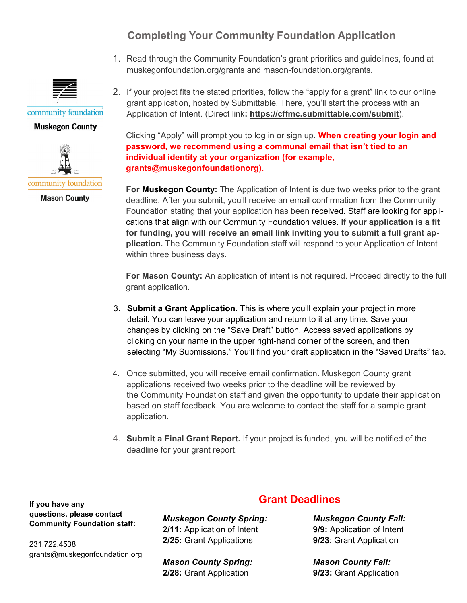## **Completing Your Community Foundation Application**

1. Read through the Community Foundation's grant priorities and guidelines, found at muskegonfoundation.org/grants and mason-foundation.org/grants.



## **Muskegon County**



**Mason County** 

2. If your project fits the stated priorities, follow the "apply for a grant" link to our online grant application, hosted by Submittable. There, you'll start the process with an Application of Intent. (Direct link**: https://cffmc.submittable.com/submit**).

Clicking "Apply" will prompt you to log in or sign up. **When creating your login and password, we recommend using a communal email that isn't tied to an individual identity at your organization (for example, grants@muskegonfoundationorg).**

**For Muskegon County:** The Application of Intent is due two weeks prior to the grant deadline. After you submit, you'll receive an email confirmation from the Community Foundation stating that your application has been received. Staff are looking for applications that align with our Community Foundation values. **If your application is a fit for funding, you will receive an email link inviting you to submit a full grant application.** The Community Foundation staff will respond to your Application of Intent within three business days.

**For Mason County:** An application of intent is not required. Proceed directly to the full grant application.

- 3. **Submit a Grant Application.** This is where you'll explain your project in more detail. You can leave your application and return to it at any time. Save your changes by clicking on the "Save Draft" button. Access saved applications by clicking on your name in the upper right-hand corner of the screen, and then selecting "My Submissions." You'll find your draft application in the "Saved Drafts" tab.
- 4. Once submitted, you will receive email confirmation. Muskegon County grant applications received two weeks prior to the deadline will be reviewed by the Community Foundation staff and given the opportunity to update their application based on staff feedback. You are welcome to contact the staff for a sample grant application.
- 4. **Submit a Final Grant Report.** If your project is funded, you will be notified of the deadline for your grant report.

**If you have any questions, please contact Community Foundation staff:** 

231.722.4538 grants@muskegonfoundation.org *Muskegon County Spring:* **2/11:** Application of Intent **2/25:** Grant Applications

*Mason County Spring:* **2/28:** Grant Application

## **Grant Deadlines**

*Muskegon County Fall:* **9/9:** Application of Intent **9/23**: Grant Application

*Mason County Fall:* **9/23:** Grant Application